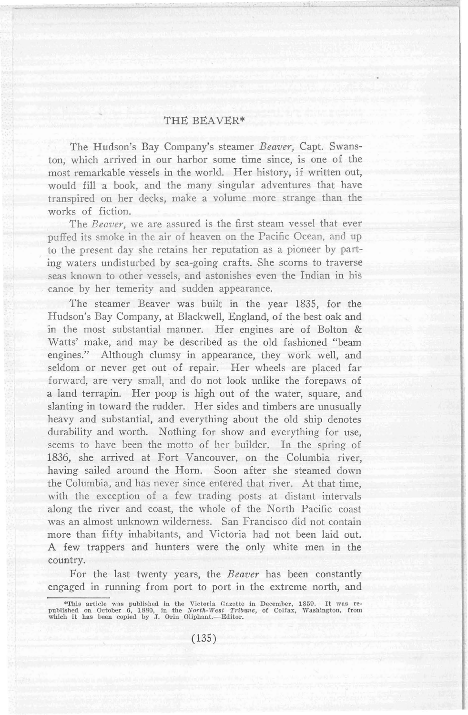## THE BEAVER\*

The Hudson's Bay Company's steamer *Beaver,* Capt. Swanston, which arrived in our harbor some time since, is one of the most remarkable vessels in the world. Her history, if written out, would fill a book, and the many singular adventures that have transpired on her decks, make a volume more strange than the works of fiction.

The *Beaver,* we are assured is the first steam vessel that ever puffed its smoke in the air of heaven on the Pacific Ocean, and up to the present day she retains her reputation as a pioneer by parting waters undisturbed by sea-going crafts. She scorns to traverse seas known to other vessels, and astonishes even the Indian in his canoe by her temerity and sudden appearance.

The steamer Beaver was built in the year 1835, for the Hudson's Bay Company, at Blackwell, England, of the best oak and in the most substantial manner. Her engines are of Bolton & Watts' make, and may be described as the old fashioned "beam engines." Although clumsy in appearance, they work well, and seldom or never get out of repair. Her wheels are placed far forward, are very small, and do not look unlike the forepaws of a land terrapin. Her poop is high out of the water, square, and slanting in toward the rudder. Her sides and timbers are unusually heavy and substantial, and everything about the old ship denotes durability and worth. Nothing for show and everything for use, seems to have been the motto of her builder. In the spring of 1836, she arrived at Fort Vancouver, on the Columbia river, having sailed around the Horn. Soon after she steamed down the Columbia, and has never since entered that river. At that time, with the exception of a few trading posts at distant intervals along the river and coast, the whole of the North Pacific coast was an almost unknown wilderness. San Francisco did not contain more than fifty inhabitants, and Victoria had not been laid out. A few trappers and hunters were the only white men in the country.

For the last twenty years, the *Beaver* has been constantly engaged in running from port to port in the extreme north, and

<sup>\*</sup>This article was published in the Victoria Gazette in December, 1859. It was republished on October 6, 1880, in the North-West Tribune, of Coliax, Washington, from which it has been copied by J. Orin Oliphant.—Editor.